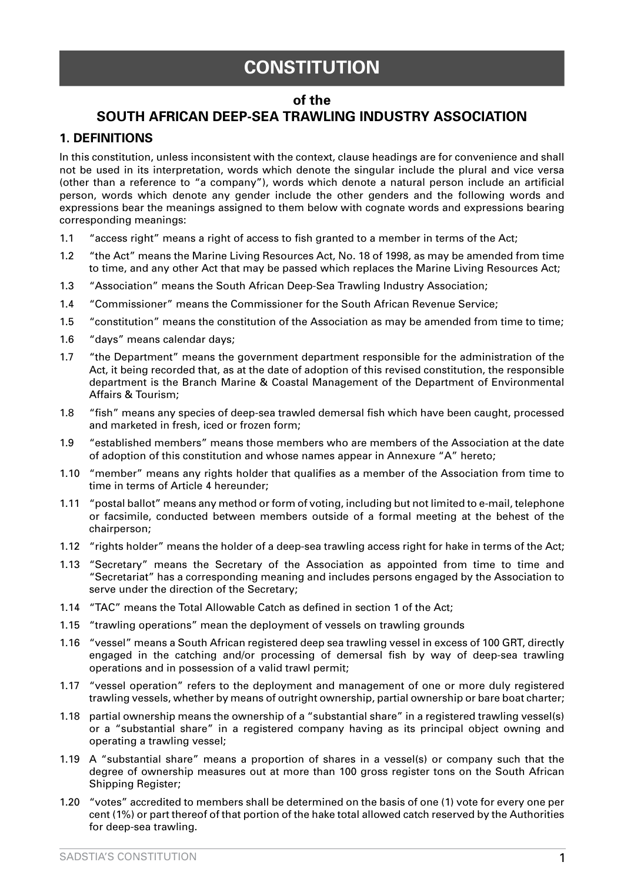# **CONSTITUTION**

#### **of the**

# **SOUTH AFRICAN DEEP-SEA TRAWLING INDUSTRY ASSOCIATION**

## **1. DEFINITIONS**

In this constitution, unless inconsistent with the context, clause headings are for convenience and shall not be used in its interpretation, words which denote the singular include the plural and vice versa (other than a reference to "a company"), words which denote a natural person include an artificial person, words which denote any gender include the other genders and the following words and expressions bear the meanings assigned to them below with cognate words and expressions bearing corresponding meanings:

- 1.1 "access right" means a right of access to fish granted to a member in terms of the Act;
- 1.2 "the Act" means the Marine Living Resources Act, No. 18 of 1998, as may be amended from time to time, and any other Act that may be passed which replaces the Marine Living Resources Act;
- 1.3 "Association" means the South African Deep-Sea Trawling Industry Association;
- 1.4 "Commissioner" means the Commissioner for the South African Revenue Service;
- 1.5 "constitution" means the constitution of the Association as may be amended from time to time;
- 1.6 "days" means calendar days;
- 1.7 "the Department" means the government department responsible for the administration of the Act, it being recorded that, as at the date of adoption of this revised constitution, the responsible department is the Branch Marine & Coastal Management of the Department of Environmental Affairs & Tourism;
- 1.8 "fish" means any species of deep-sea trawled demersal fish which have been caught, processed and marketed in fresh, iced or frozen form;
- 1.9 "established members" means those members who are members of the Association at the date of adoption of this constitution and whose names appear in Annexure "A" hereto;
- 1.10 "member" means any rights holder that qualifies as a member of the Association from time to time in terms of Article 4 hereunder;
- 1.11 "postal ballot" means any method or form of voting, including but not limited to e-mail, telephone or facsimile, conducted between members outside of a formal meeting at the behest of the chairperson;
- 1.12 "rights holder" means the holder of a deep-sea trawling access right for hake in terms of the Act;
- 1.13 "Secretary" means the Secretary of the Association as appointed from time to time and "Secretariat" has a corresponding meaning and includes persons engaged by the Association to serve under the direction of the Secretary;
- 1.14 "TAC" means the Total Allowable Catch as defined in section 1 of the Act;
- 1.15 "trawling operations" mean the deployment of vessels on trawling grounds
- 1.16 "vessel" means a South African registered deep sea trawling vessel in excess of 100 GRT, directly engaged in the catching and/or processing of demersal fish by way of deep-sea trawling operations and in possession of a valid trawl permit;
- 1.17 "vessel operation" refers to the deployment and management of one or more duly registered trawling vessels, whether by means of outright ownership, partial ownership or bare boat charter;
- 1.18 partial ownership means the ownership of a "substantial share" in a registered trawling vessel(s) or a "substantial share" in a registered company having as its principal object owning and operating a trawling vessel;
- 1.19 A "substantial share" means a proportion of shares in a vessel(s) or company such that the degree of ownership measures out at more than 100 gross register tons on the South African Shipping Register;
- 1.20 "votes" accredited to members shall be determined on the basis of one (1) vote for every one per cent (1%) or part thereof of that portion of the hake total allowed catch reserved by the Authorities for deep-sea trawling.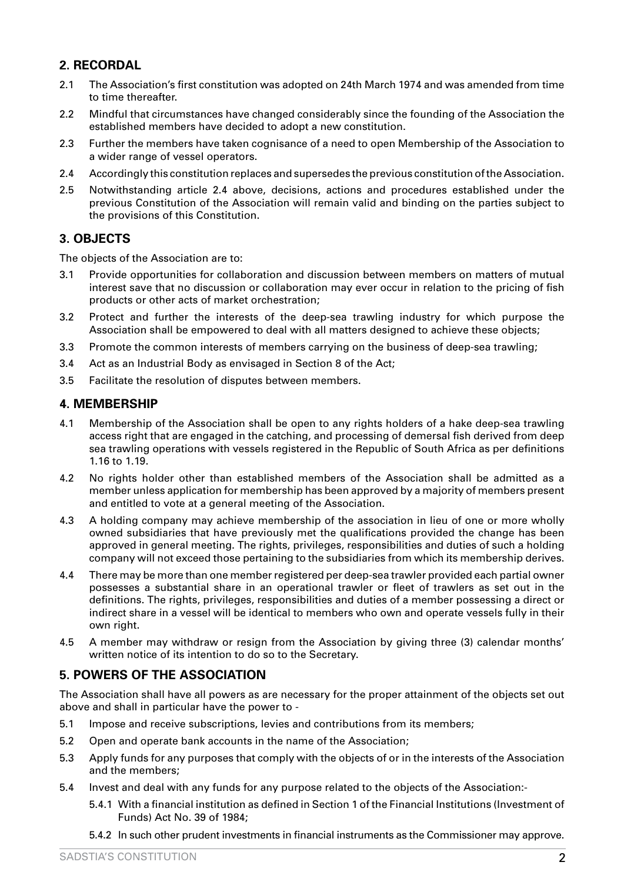# **2. RECORDAL**

- 2.1 The Association's first constitution was adopted on 24th March 1974 and was amended from time to time thereafter.
- 2.2 Mindful that circumstances have changed considerably since the founding of the Association the established members have decided to adopt a new constitution.
- 2.3 Further the members have taken cognisance of a need to open Membership of the Association to a wider range of vessel operators.
- 2.4 Accordingly this constitution replaces and supersedes the previous constitution of the Association.
- 2.5 Notwithstanding article 2.4 above, decisions, actions and procedures established under the previous Constitution of the Association will remain valid and binding on the parties subject to the provisions of this Constitution.

## **3. OBJECTS**

The objects of the Association are to:

- 3.1 Provide opportunities for collaboration and discussion between members on matters of mutual interest save that no discussion or collaboration may ever occur in relation to the pricing of fish products or other acts of market orchestration;
- 3.2 Protect and further the interests of the deep-sea trawling industry for which purpose the Association shall be empowered to deal with all matters designed to achieve these objects;
- 3.3 Promote the common interests of members carrying on the business of deep-sea trawling;
- 3.4 Act as an Industrial Body as envisaged in Section 8 of the Act;
- 3.5 Facilitate the resolution of disputes between members.

## **4. MEMBERSHIP**

- 4.1 Membership of the Association shall be open to any rights holders of a hake deep-sea trawling access right that are engaged in the catching, and processing of demersal fish derived from deep sea trawling operations with vessels registered in the Republic of South Africa as per definitions 1.16 to 1.19.
- 4.2 No rights holder other than established members of the Association shall be admitted as a member unless application for membership has been approved by a majority of members present and entitled to vote at a general meeting of the Association.
- 4.3 A holding company may achieve membership of the association in lieu of one or more wholly owned subsidiaries that have previously met the qualifications provided the change has been approved in general meeting. The rights, privileges, responsibilities and duties of such a holding company will not exceed those pertaining to the subsidiaries from which its membership derives.
- 4.4 There may be more than one member registered per deep-sea trawler provided each partial owner possesses a substantial share in an operational trawler or fleet of trawlers as set out in the definitions. The rights, privileges, responsibilities and duties of a member possessing a direct or indirect share in a vessel will be identical to members who own and operate vessels fully in their own right.
- 4.5 A member may withdraw or resign from the Association by giving three (3) calendar months' written notice of its intention to do so to the Secretary.

## **5. POWERS OF THE ASSOCIATION**

The Association shall have all powers as are necessary for the proper attainment of the objects set out above and shall in particular have the power to -

- 5.1 Impose and receive subscriptions, levies and contributions from its members;
- 5.2 Open and operate bank accounts in the name of the Association;
- 5.3 Apply funds for any purposes that comply with the objects of or in the interests of the Association and the members;
- 5.4 Invest and deal with any funds for any purpose related to the objects of the Association:-
	- 5.4.1 With a financial institution as defined in Section 1 of the Financial Institutions (Investment of Funds) Act No. 39 of 1984;
	- 5.4.2 In such other prudent investments in financial instruments as the Commissioner may approve.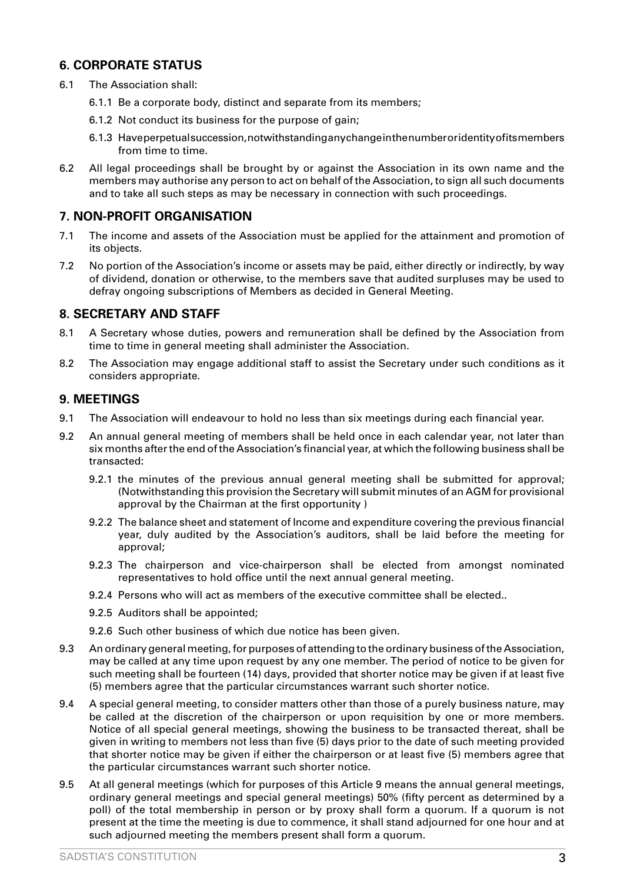## **6. CORPORATE STATUS**

- 6.1 The Association shall:
	- 6.1.1 Be a corporate body, distinct and separate from its members;
	- 6.1.2 Not conduct its business for the purpose of gain;
	- 6.1.3 Have perpetual succession, notwithstanding any change in the number or identity of its members from time to time.
- 6.2 All legal proceedings shall be brought by or against the Association in its own name and the members may authorise any person to act on behalf of the Association, to sign all such documents and to take all such steps as may be necessary in connection with such proceedings.

## **7. NON-PROFIT ORGANISATION**

- 7.1 The income and assets of the Association must be applied for the attainment and promotion of its objects.
- 7.2 No portion of the Association's income or assets may be paid, either directly or indirectly, by way of dividend, donation or otherwise, to the members save that audited surpluses may be used to defray ongoing subscriptions of Members as decided in General Meeting.

## **8. SECRETARY AND STAFF**

- 8.1 A Secretary whose duties, powers and remuneration shall be defined by the Association from time to time in general meeting shall administer the Association.
- 8.2 The Association may engage additional staff to assist the Secretary under such conditions as it considers appropriate.

## **9. MEETINGS**

- 9.1 The Association will endeavour to hold no less than six meetings during each financial year.
- 9.2 An annual general meeting of members shall be held once in each calendar year, not later than six months after the end of the Association's financial year, at which the following business shall be transacted:
	- 9.2.1 the minutes of the previous annual general meeting shall be submitted for approval; (Notwithstanding this provision the Secretary will submit minutes of an AGM for provisional approval by the Chairman at the first opportunity )
	- 9.2.2 The balance sheet and statement of Income and expenditure covering the previous financial year, duly audited by the Association's auditors, shall be laid before the meeting for approval;
	- 9.2.3 The chairperson and vice-chairperson shall be elected from amongst nominated representatives to hold office until the next annual general meeting.
	- 9.2.4 Persons who will act as members of the executive committee shall be elected..
	- 9.2.5 Auditors shall be appointed;
	- 9.2.6 Such other business of which due notice has been given.
- 9.3 An ordinary general meeting, for purposes of attending to the ordinary business of the Association, may be called at any time upon request by any one member. The period of notice to be given for such meeting shall be fourteen (14) days, provided that shorter notice may be given if at least five (5) members agree that the particular circumstances warrant such shorter notice.
- 9.4 A special general meeting, to consider matters other than those of a purely business nature, may be called at the discretion of the chairperson or upon requisition by one or more members. Notice of all special general meetings, showing the business to be transacted thereat, shall be given in writing to members not less than five (5) days prior to the date of such meeting provided that shorter notice may be given if either the chairperson or at least five (5) members agree that the particular circumstances warrant such shorter notice.
- 9.5 At all general meetings (which for purposes of this Article 9 means the annual general meetings, ordinary general meetings and special general meetings) 50% (fifty percent as determined by a poll) of the total membership in person or by proxy shall form a quorum. If a quorum is not present at the time the meeting is due to commence, it shall stand adjourned for one hour and at such adjourned meeting the members present shall form a quorum.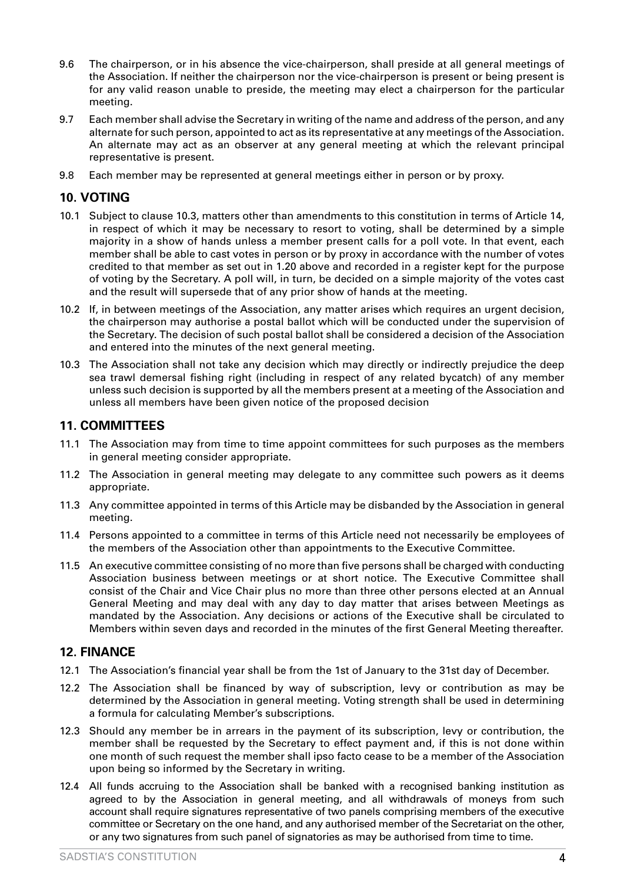- 9.6 The chairperson, or in his absence the vice-chairperson, shall preside at all general meetings of the Association. If neither the chairperson nor the vice-chairperson is present or being present is for any valid reason unable to preside, the meeting may elect a chairperson for the particular meeting.
- 9.7 Each member shall advise the Secretary in writing of the name and address of the person, and any alternate for such person, appointed to act as its representative at any meetings of the Association. An alternate may act as an observer at any general meeting at which the relevant principal representative is present.
- 9.8 Each member may be represented at general meetings either in person or by proxy.

## **10. VOTING**

- 10.1 Subject to clause 10.3, matters other than amendments to this constitution in terms of Article 14, in respect of which it may be necessary to resort to voting, shall be determined by a simple majority in a show of hands unless a member present calls for a poll vote. In that event, each member shall be able to cast votes in person or by proxy in accordance with the number of votes credited to that member as set out in 1.20 above and recorded in a register kept for the purpose of voting by the Secretary. A poll will, in turn, be decided on a simple majority of the votes cast and the result will supersede that of any prior show of hands at the meeting.
- 10.2 If, in between meetings of the Association, any matter arises which requires an urgent decision, the chairperson may authorise a postal ballot which will be conducted under the supervision of the Secretary. The decision of such postal ballot shall be considered a decision of the Association and entered into the minutes of the next general meeting.
- 10.3 The Association shall not take any decision which may directly or indirectly prejudice the deep sea trawl demersal fishing right (including in respect of any related bycatch) of any member unless such decision is supported by all the members present at a meeting of the Association and unless all members have been given notice of the proposed decision

## **11. COMMITTEES**

- 11.1 The Association may from time to time appoint committees for such purposes as the members in general meeting consider appropriate.
- 11.2 The Association in general meeting may delegate to any committee such powers as it deems appropriate.
- 11.3 Any committee appointed in terms of this Article may be disbanded by the Association in general meeting.
- 11.4 Persons appointed to a committee in terms of this Article need not necessarily be employees of the members of the Association other than appointments to the Executive Committee.
- 11.5 An executive committee consisting of no more than five persons shall be charged with conducting Association business between meetings or at short notice. The Executive Committee shall consist of the Chair and Vice Chair plus no more than three other persons elected at an Annual General Meeting and may deal with any day to day matter that arises between Meetings as mandated by the Association. Any decisions or actions of the Executive shall be circulated to Members within seven days and recorded in the minutes of the first General Meeting thereafter.

## **12. FINANCE**

- 12.1 The Association's financial year shall be from the 1st of January to the 31st day of December.
- 12.2 The Association shall be financed by way of subscription, levy or contribution as may be determined by the Association in general meeting. Voting strength shall be used in determining a formula for calculating Member's subscriptions.
- 12.3 Should any member be in arrears in the payment of its subscription, levy or contribution, the member shall be requested by the Secretary to effect payment and, if this is not done within one month of such request the member shall ipso facto cease to be a member of the Association upon being so informed by the Secretary in writing.
- 12.4 All funds accruing to the Association shall be banked with a recognised banking institution as agreed to by the Association in general meeting, and all withdrawals of moneys from such account shall require signatures representative of two panels comprising members of the executive committee or Secretary on the one hand, and any authorised member of the Secretariat on the other, or any two signatures from such panel of signatories as may be authorised from time to time.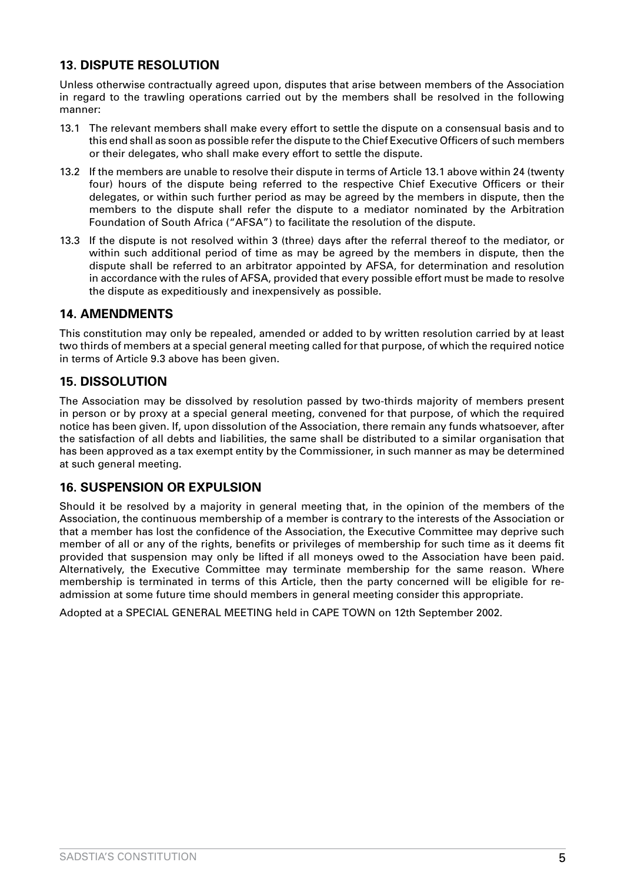## **13. DISPUTE RESOLUTION**

Unless otherwise contractually agreed upon, disputes that arise between members of the Association in regard to the trawling operations carried out by the members shall be resolved in the following manner:

- 13.1 The relevant members shall make every effort to settle the dispute on a consensual basis and to this end shall as soon as possible refer the dispute to the Chief Executive Officers of such members or their delegates, who shall make every effort to settle the dispute.
- 13.2 If the members are unable to resolve their dispute in terms of Article 13.1 above within 24 (twenty four) hours of the dispute being referred to the respective Chief Executive Officers or their delegates, or within such further period as may be agreed by the members in dispute, then the members to the dispute shall refer the dispute to a mediator nominated by the Arbitration Foundation of South Africa ("AFSA") to facilitate the resolution of the dispute.
- 13.3 If the dispute is not resolved within 3 (three) days after the referral thereof to the mediator, or within such additional period of time as may be agreed by the members in dispute, then the dispute shall be referred to an arbitrator appointed by AFSA, for determination and resolution in accordance with the rules of AFSA, provided that every possible effort must be made to resolve the dispute as expeditiously and inexpensively as possible.

#### **14. AMENDMENTS**

This constitution may only be repealed, amended or added to by written resolution carried by at least two thirds of members at a special general meeting called for that purpose, of which the required notice in terms of Article 9.3 above has been given.

#### **15. DISSOLUTION**

The Association may be dissolved by resolution passed by two-thirds majority of members present in person or by proxy at a special general meeting, convened for that purpose, of which the required notice has been given. If, upon dissolution of the Association, there remain any funds whatsoever, after the satisfaction of all debts and liabilities, the same shall be distributed to a similar organisation that has been approved as a tax exempt entity by the Commissioner, in such manner as may be determined at such general meeting.

#### **16. SUSPENSION OR EXPULSION**

Should it be resolved by a majority in general meeting that, in the opinion of the members of the Association, the continuous membership of a member is contrary to the interests of the Association or that a member has lost the confidence of the Association, the Executive Committee may deprive such member of all or any of the rights, benefits or privileges of membership for such time as it deems fit provided that suspension may only be lifted if all moneys owed to the Association have been paid. Alternatively, the Executive Committee may terminate membership for the same reason. Where membership is terminated in terms of this Article, then the party concerned will be eligible for readmission at some future time should members in general meeting consider this appropriate.

Adopted at a SPECIAL GENERAL MEETING held in CAPE TOWN on 12th September 2002.